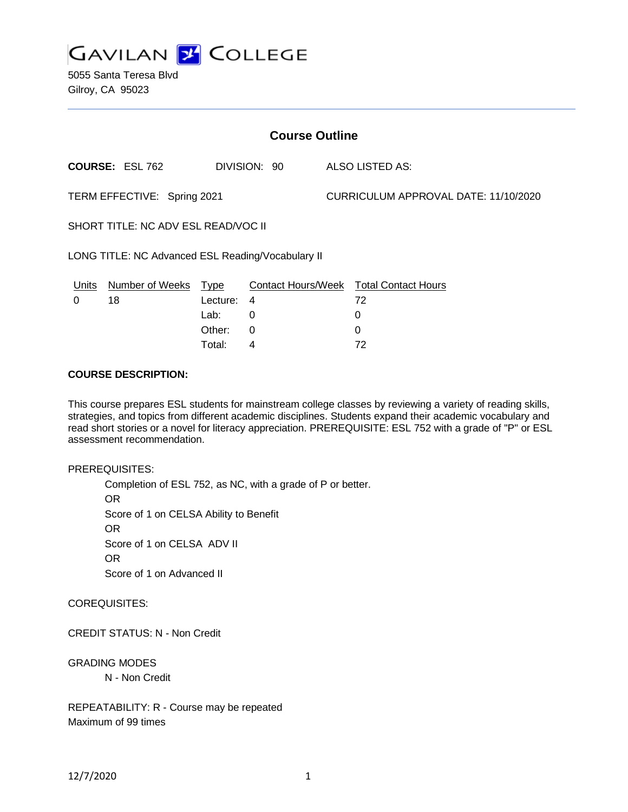

5055 Santa Teresa Blvd Gilroy, CA 95023

| <b>Course Outline</b>                             |                        |              |   |  |                                      |                                               |
|---------------------------------------------------|------------------------|--------------|---|--|--------------------------------------|-----------------------------------------------|
|                                                   | <b>COURSE: ESL 762</b> | DIVISION: 90 |   |  |                                      | ALSO LISTED AS:                               |
| TERM EFFECTIVE: Spring 2021                       |                        |              |   |  | CURRICULUM APPROVAL DATE: 11/10/2020 |                                               |
| SHORT TITLE: NC ADV ESL READ/VOC II               |                        |              |   |  |                                      |                                               |
| LONG TITLE: NC Advanced ESL Reading/Vocabulary II |                        |              |   |  |                                      |                                               |
| Units                                             | <b>Number of Weeks</b> | <u>Type</u>  |   |  |                                      | <b>Contact Hours/Week Total Contact Hours</b> |
| 0                                                 | 18                     | Lecture:     | 4 |  |                                      | 72                                            |
|                                                   |                        | Lab:         | 0 |  |                                      | 0                                             |
|                                                   |                        | Other:       | 0 |  |                                      | 0                                             |

Total: 4 72

### **COURSE DESCRIPTION:**

This course prepares ESL students for mainstream college classes by reviewing a variety of reading skills, strategies, and topics from different academic disciplines. Students expand their academic vocabulary and read short stories or a novel for literacy appreciation. PREREQUISITE: ESL 752 with a grade of "P" or ESL assessment recommendation.

PREREQUISITES:

Completion of ESL 752, as NC, with a grade of P or better. OR Score of 1 on CELSA Ability to Benefit OR Score of 1 on CELSA ADV II OR Score of 1 on Advanced II

COREQUISITES:

CREDIT STATUS: N - Non Credit

GRADING MODES N - Non Credit

REPEATABILITY: R - Course may be repeated Maximum of 99 times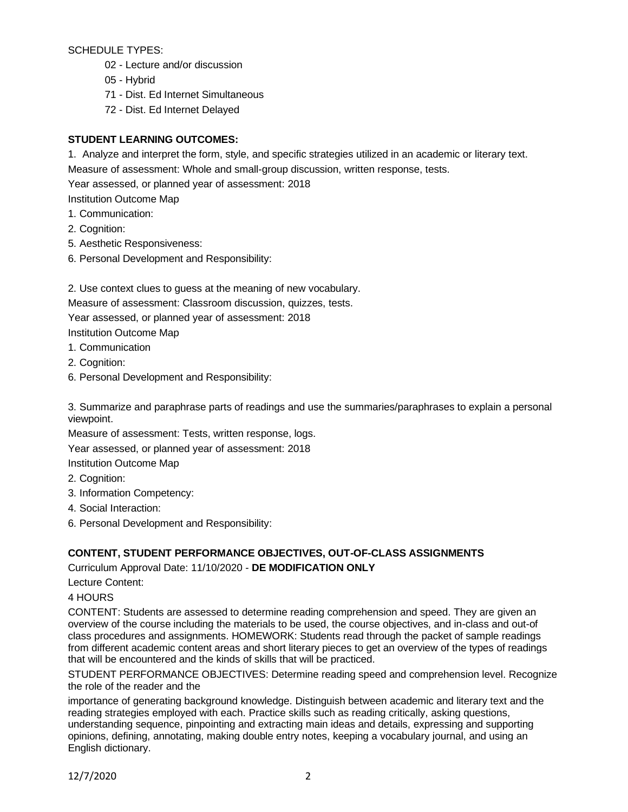SCHEDULE TYPES:

- 02 Lecture and/or discussion
- 05 Hybrid
- 71 Dist. Ed Internet Simultaneous
- 72 Dist. Ed Internet Delayed

# **STUDENT LEARNING OUTCOMES:**

1. Analyze and interpret the form, style, and specific strategies utilized in an academic or literary text.

Measure of assessment: Whole and small-group discussion, written response, tests.

Year assessed, or planned year of assessment: 2018

Institution Outcome Map

- 1. Communication:
- 2. Cognition:
- 5. Aesthetic Responsiveness:
- 6. Personal Development and Responsibility:
- 2. Use context clues to guess at the meaning of new vocabulary.

Measure of assessment: Classroom discussion, quizzes, tests.

Year assessed, or planned year of assessment: 2018

Institution Outcome Map

- 1. Communication
- 2. Cognition:
- 6. Personal Development and Responsibility:

3. Summarize and paraphrase parts of readings and use the summaries/paraphrases to explain a personal viewpoint.

Measure of assessment: Tests, written response, logs.

Year assessed, or planned year of assessment: 2018

Institution Outcome Map

- 2. Cognition:
- 3. Information Competency:
- 4. Social Interaction:
- 6. Personal Development and Responsibility:

# **CONTENT, STUDENT PERFORMANCE OBJECTIVES, OUT-OF-CLASS ASSIGNMENTS**

Curriculum Approval Date: 11/10/2020 - **DE MODIFICATION ONLY**

Lecture Content:

4 HOURS

CONTENT: Students are assessed to determine reading comprehension and speed. They are given an overview of the course including the materials to be used, the course objectives, and in-class and out-of class procedures and assignments. HOMEWORK: Students read through the packet of sample readings from different academic content areas and short literary pieces to get an overview of the types of readings that will be encountered and the kinds of skills that will be practiced.

STUDENT PERFORMANCE OBJECTIVES: Determine reading speed and comprehension level. Recognize the role of the reader and the

importance of generating background knowledge. Distinguish between academic and literary text and the reading strategies employed with each. Practice skills such as reading critically, asking questions, understanding sequence, pinpointing and extracting main ideas and details, expressing and supporting opinions, defining, annotating, making double entry notes, keeping a vocabulary journal, and using an English dictionary.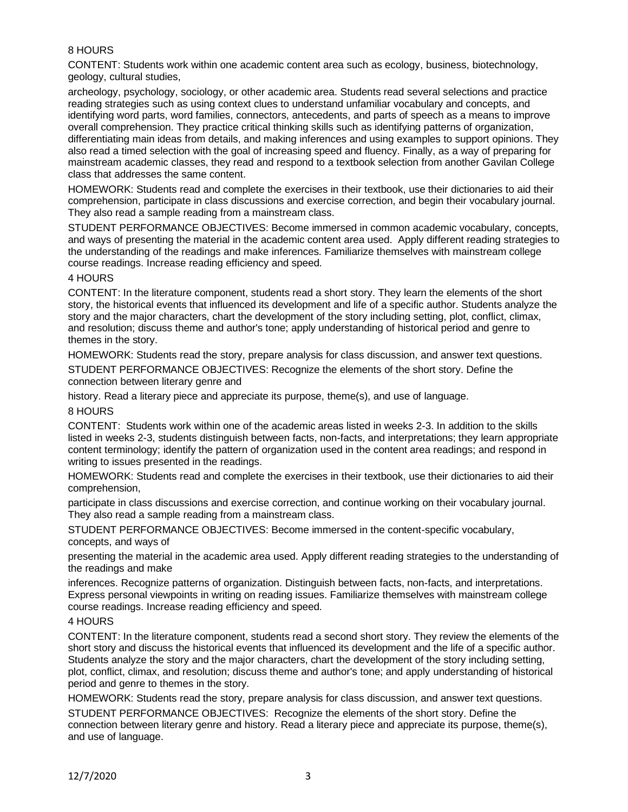# 8 HOURS

CONTENT: Students work within one academic content area such as ecology, business, biotechnology, geology, cultural studies,

archeology, psychology, sociology, or other academic area. Students read several selections and practice reading strategies such as using context clues to understand unfamiliar vocabulary and concepts, and identifying word parts, word families, connectors, antecedents, and parts of speech as a means to improve overall comprehension. They practice critical thinking skills such as identifying patterns of organization, differentiating main ideas from details, and making inferences and using examples to support opinions. They also read a timed selection with the goal of increasing speed and fluency. Finally, as a way of preparing for mainstream academic classes, they read and respond to a textbook selection from another Gavilan College class that addresses the same content.

HOMEWORK: Students read and complete the exercises in their textbook, use their dictionaries to aid their comprehension, participate in class discussions and exercise correction, and begin their vocabulary journal. They also read a sample reading from a mainstream class.

STUDENT PERFORMANCE OBJECTIVES: Become immersed in common academic vocabulary, concepts, and ways of presenting the material in the academic content area used. Apply different reading strategies to the understanding of the readings and make inferences. Familiarize themselves with mainstream college course readings. Increase reading efficiency and speed.

### 4 HOURS

CONTENT: In the literature component, students read a short story. They learn the elements of the short story, the historical events that influenced its development and life of a specific author. Students analyze the story and the major characters, chart the development of the story including setting, plot, conflict, climax, and resolution; discuss theme and author's tone; apply understanding of historical period and genre to themes in the story.

HOMEWORK: Students read the story, prepare analysis for class discussion, and answer text questions.

STUDENT PERFORMANCE OBJECTIVES: Recognize the elements of the short story. Define the connection between literary genre and

history. Read a literary piece and appreciate its purpose, theme(s), and use of language.

### 8 HOURS

CONTENT: Students work within one of the academic areas listed in weeks 2-3. In addition to the skills listed in weeks 2-3, students distinguish between facts, non-facts, and interpretations; they learn appropriate content terminology; identify the pattern of organization used in the content area readings; and respond in writing to issues presented in the readings.

HOMEWORK: Students read and complete the exercises in their textbook, use their dictionaries to aid their comprehension,

participate in class discussions and exercise correction, and continue working on their vocabulary journal. They also read a sample reading from a mainstream class.

STUDENT PERFORMANCE OBJECTIVES: Become immersed in the content-specific vocabulary, concepts, and ways of

presenting the material in the academic area used. Apply different reading strategies to the understanding of the readings and make

inferences. Recognize patterns of organization. Distinguish between facts, non-facts, and interpretations. Express personal viewpoints in writing on reading issues. Familiarize themselves with mainstream college course readings. Increase reading efficiency and speed.

#### 4 HOURS

CONTENT: In the literature component, students read a second short story. They review the elements of the short story and discuss the historical events that influenced its development and the life of a specific author. Students analyze the story and the major characters, chart the development of the story including setting, plot, conflict, climax, and resolution; discuss theme and author's tone; and apply understanding of historical period and genre to themes in the story.

HOMEWORK: Students read the story, prepare analysis for class discussion, and answer text questions.

STUDENT PERFORMANCE OBJECTIVES: Recognize the elements of the short story. Define the connection between literary genre and history. Read a literary piece and appreciate its purpose, theme(s), and use of language.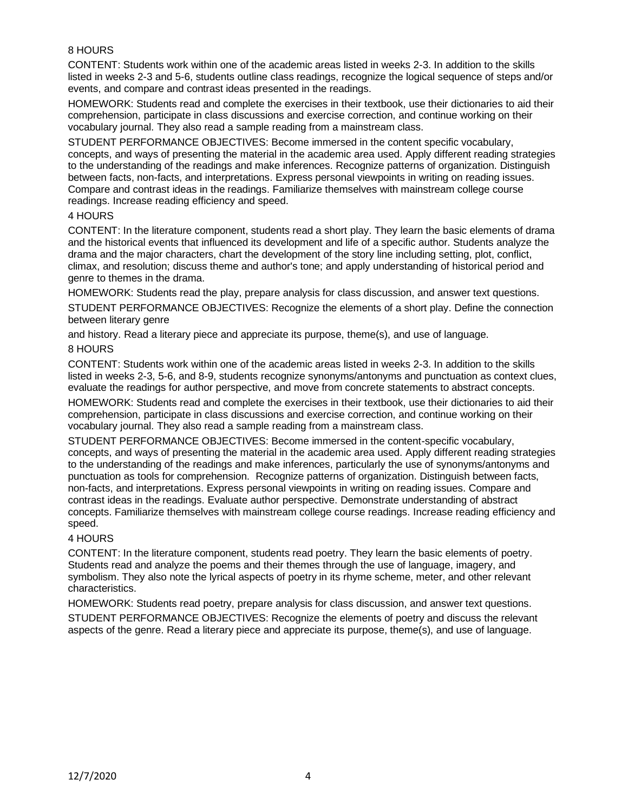# 8 HOURS

CONTENT: Students work within one of the academic areas listed in weeks 2-3. In addition to the skills listed in weeks 2-3 and 5-6, students outline class readings, recognize the logical sequence of steps and/or events, and compare and contrast ideas presented in the readings.

HOMEWORK: Students read and complete the exercises in their textbook, use their dictionaries to aid their comprehension, participate in class discussions and exercise correction, and continue working on their vocabulary journal. They also read a sample reading from a mainstream class.

STUDENT PERFORMANCE OBJECTIVES: Become immersed in the content specific vocabulary, concepts, and ways of presenting the material in the academic area used. Apply different reading strategies to the understanding of the readings and make inferences. Recognize patterns of organization. Distinguish between facts, non-facts, and interpretations. Express personal viewpoints in writing on reading issues. Compare and contrast ideas in the readings. Familiarize themselves with mainstream college course readings. Increase reading efficiency and speed.

### 4 HOURS

CONTENT: In the literature component, students read a short play. They learn the basic elements of drama and the historical events that influenced its development and life of a specific author. Students analyze the drama and the major characters, chart the development of the story line including setting, plot, conflict, climax, and resolution; discuss theme and author's tone; and apply understanding of historical period and genre to themes in the drama.

HOMEWORK: Students read the play, prepare analysis for class discussion, and answer text questions.

STUDENT PERFORMANCE OBJECTIVES: Recognize the elements of a short play. Define the connection between literary genre

and history. Read a literary piece and appreciate its purpose, theme(s), and use of language.

### 8 HOURS

CONTENT: Students work within one of the academic areas listed in weeks 2-3. In addition to the skills listed in weeks 2-3, 5-6, and 8-9, students recognize synonyms/antonyms and punctuation as context clues, evaluate the readings for author perspective, and move from concrete statements to abstract concepts.

HOMEWORK: Students read and complete the exercises in their textbook, use their dictionaries to aid their comprehension, participate in class discussions and exercise correction, and continue working on their vocabulary journal. They also read a sample reading from a mainstream class.

STUDENT PERFORMANCE OBJECTIVES: Become immersed in the content-specific vocabulary, concepts, and ways of presenting the material in the academic area used. Apply different reading strategies to the understanding of the readings and make inferences, particularly the use of synonyms/antonyms and punctuation as tools for comprehension. Recognize patterns of organization. Distinguish between facts, non-facts, and interpretations. Express personal viewpoints in writing on reading issues. Compare and contrast ideas in the readings. Evaluate author perspective. Demonstrate understanding of abstract concepts. Familiarize themselves with mainstream college course readings. Increase reading efficiency and speed.

### 4 HOURS

CONTENT: In the literature component, students read poetry. They learn the basic elements of poetry. Students read and analyze the poems and their themes through the use of language, imagery, and symbolism. They also note the lyrical aspects of poetry in its rhyme scheme, meter, and other relevant characteristics.

HOMEWORK: Students read poetry, prepare analysis for class discussion, and answer text questions. STUDENT PERFORMANCE OBJECTIVES: Recognize the elements of poetry and discuss the relevant aspects of the genre. Read a literary piece and appreciate its purpose, theme(s), and use of language.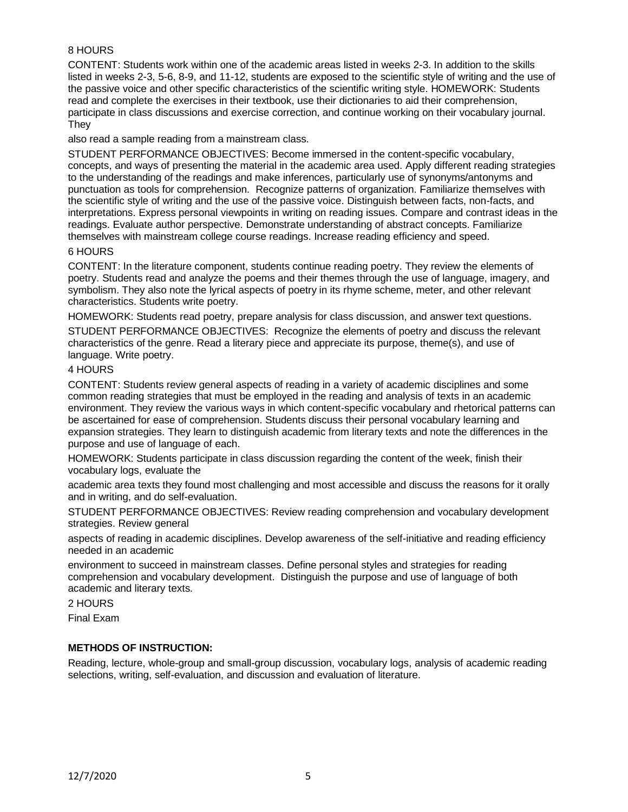# 8 HOURS

CONTENT: Students work within one of the academic areas listed in weeks 2-3. In addition to the skills listed in weeks 2-3, 5-6, 8-9, and 11-12, students are exposed to the scientific style of writing and the use of the passive voice and other specific characteristics of the scientific writing style. HOMEWORK: Students read and complete the exercises in their textbook, use their dictionaries to aid their comprehension, participate in class discussions and exercise correction, and continue working on their vocabulary journal. They

also read a sample reading from a mainstream class.

STUDENT PERFORMANCE OBJECTIVES: Become immersed in the content-specific vocabulary, concepts, and ways of presenting the material in the academic area used. Apply different reading strategies to the understanding of the readings and make inferences, particularly use of synonyms/antonyms and punctuation as tools for comprehension. Recognize patterns of organization. Familiarize themselves with the scientific style of writing and the use of the passive voice. Distinguish between facts, non-facts, and interpretations. Express personal viewpoints in writing on reading issues. Compare and contrast ideas in the readings. Evaluate author perspective. Demonstrate understanding of abstract concepts. Familiarize themselves with mainstream college course readings. Increase reading efficiency and speed.

#### 6 HOURS

CONTENT: In the literature component, students continue reading poetry. They review the elements of poetry. Students read and analyze the poems and their themes through the use of language, imagery, and symbolism. They also note the lyrical aspects of poetry in its rhyme scheme, meter, and other relevant characteristics. Students write poetry.

HOMEWORK: Students read poetry, prepare analysis for class discussion, and answer text questions. STUDENT PERFORMANCE OBJECTIVES: Recognize the elements of poetry and discuss the relevant characteristics of the genre. Read a literary piece and appreciate its purpose, theme(s), and use of language. Write poetry.

### 4 HOURS

CONTENT: Students review general aspects of reading in a variety of academic disciplines and some common reading strategies that must be employed in the reading and analysis of texts in an academic environment. They review the various ways in which content-specific vocabulary and rhetorical patterns can be ascertained for ease of comprehension. Students discuss their personal vocabulary learning and expansion strategies. They learn to distinguish academic from literary texts and note the differences in the purpose and use of language of each.

HOMEWORK: Students participate in class discussion regarding the content of the week, finish their vocabulary logs, evaluate the

academic area texts they found most challenging and most accessible and discuss the reasons for it orally and in writing, and do self-evaluation.

STUDENT PERFORMANCE OBJECTIVES: Review reading comprehension and vocabulary development strategies. Review general

aspects of reading in academic disciplines. Develop awareness of the self-initiative and reading efficiency needed in an academic

environment to succeed in mainstream classes. Define personal styles and strategies for reading comprehension and vocabulary development. Distinguish the purpose and use of language of both academic and literary texts.

2 HOURS

Final Exam

### **METHODS OF INSTRUCTION:**

Reading, lecture, whole-group and small-group discussion, vocabulary logs, analysis of academic reading selections, writing, self-evaluation, and discussion and evaluation of literature.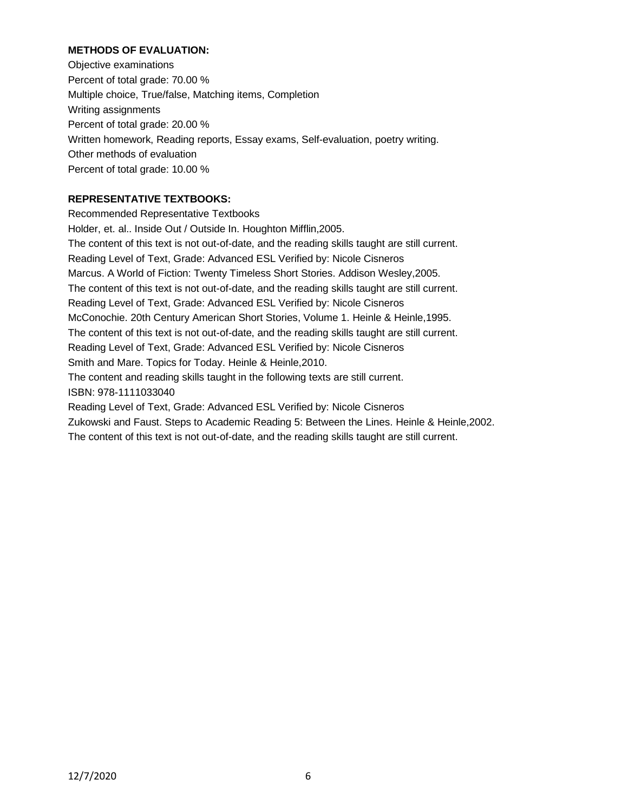## **METHODS OF EVALUATION:**

Objective examinations Percent of total grade: 70.00 % Multiple choice, True/false, Matching items, Completion Writing assignments Percent of total grade: 20.00 % Written homework, Reading reports, Essay exams, Self-evaluation, poetry writing. Other methods of evaluation Percent of total grade: 10.00 %

# **REPRESENTATIVE TEXTBOOKS:**

Recommended Representative Textbooks Holder, et. al.. Inside Out / Outside In. Houghton Mifflin,2005. The content of this text is not out-of-date, and the reading skills taught are still current. Reading Level of Text, Grade: Advanced ESL Verified by: Nicole Cisneros Marcus. A World of Fiction: Twenty Timeless Short Stories. Addison Wesley,2005. The content of this text is not out-of-date, and the reading skills taught are still current. Reading Level of Text, Grade: Advanced ESL Verified by: Nicole Cisneros McConochie. 20th Century American Short Stories, Volume 1. Heinle & Heinle,1995. The content of this text is not out-of-date, and the reading skills taught are still current. Reading Level of Text, Grade: Advanced ESL Verified by: Nicole Cisneros Smith and Mare. Topics for Today. Heinle & Heinle,2010. The content and reading skills taught in the following texts are still current. ISBN: 978-1111033040 Reading Level of Text, Grade: Advanced ESL Verified by: Nicole Cisneros Zukowski and Faust. Steps to Academic Reading 5: Between the Lines. Heinle & Heinle,2002. The content of this text is not out-of-date, and the reading skills taught are still current.